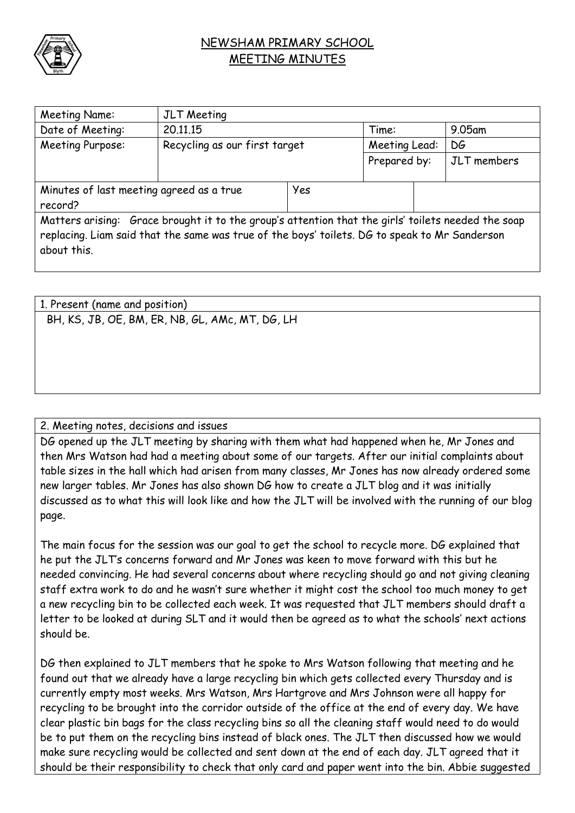

## NEWSHAM PRIMARY SCHOOL MEETING MINUTES

| <b>Meeting Name:</b>                                                                                                                                                                                               | <b>JLT</b> Meeting            |     |               |  |             |  |
|--------------------------------------------------------------------------------------------------------------------------------------------------------------------------------------------------------------------|-------------------------------|-----|---------------|--|-------------|--|
| Date of Meeting:                                                                                                                                                                                                   | 20.11.15                      |     | Time:         |  | $9.05$ am   |  |
| Meeting Purpose:                                                                                                                                                                                                   | Recycling as our first target |     | Meeting Lead: |  | DG          |  |
|                                                                                                                                                                                                                    |                               |     | Prepared by:  |  | JLT members |  |
|                                                                                                                                                                                                                    |                               |     |               |  |             |  |
| Minutes of last meeting agreed as a true                                                                                                                                                                           |                               | Yes |               |  |             |  |
| record?                                                                                                                                                                                                            |                               |     |               |  |             |  |
| Matters arising: Grace brought it to the group's attention that the girls' toilets needed the soap<br>replacing. Liam said that the same was true of the boys' toilets. DG to speak to Mr Sanderson<br>about this. |                               |     |               |  |             |  |

| 1. Present (name and position)                  |
|-------------------------------------------------|
| BH, KS, JB, OE, BM, ER, NB, GL, AMc, MT, DG, LH |
|                                                 |
|                                                 |
|                                                 |
|                                                 |
|                                                 |

## 2. Meeting notes, decisions and issues

DG opened up the JLT meeting by sharing with them what had happened when he, Mr Jones and then Mrs Watson had had a meeting about some of our targets. After our initial complaints about table sizes in the hall which had arisen from many classes, Mr Jones has now already ordered some new larger tables. Mr Jones has also shown DG how to create a JLT blog and it was initially discussed as to what this will look like and how the JLT will be involved with the running of our blog page.

The main focus for the session was our goal to get the school to recycle more. DG explained that he put the JLT's concerns forward and Mr Jones was keen to move forward with this but he needed convincing. He had several concerns about where recycling should go and not giving cleaning staff extra work to do and he wasn't sure whether it might cost the school too much money to get a new recycling bin to be collected each week. It was requested that JLT members should draft a letter to be looked at during SLT and it would then be agreed as to what the schools' next actions should be.

DG then explained to JLT members that he spoke to Mrs Watson following that meeting and he found out that we already have a large recycling bin which gets collected every Thursday and is currently empty most weeks. Mrs Watson, Mrs Hartgrove and Mrs Johnson were all happy for recycling to be brought into the corridor outside of the office at the end of every day. We have clear plastic bin bags for the class recycling bins so all the cleaning staff would need to do would be to put them on the recycling bins instead of black ones. The JLT then discussed how we would make sure recycling would be collected and sent down at the end of each day. JLT agreed that it should be their responsibility to check that only card and paper went into the bin. Abbie suggested